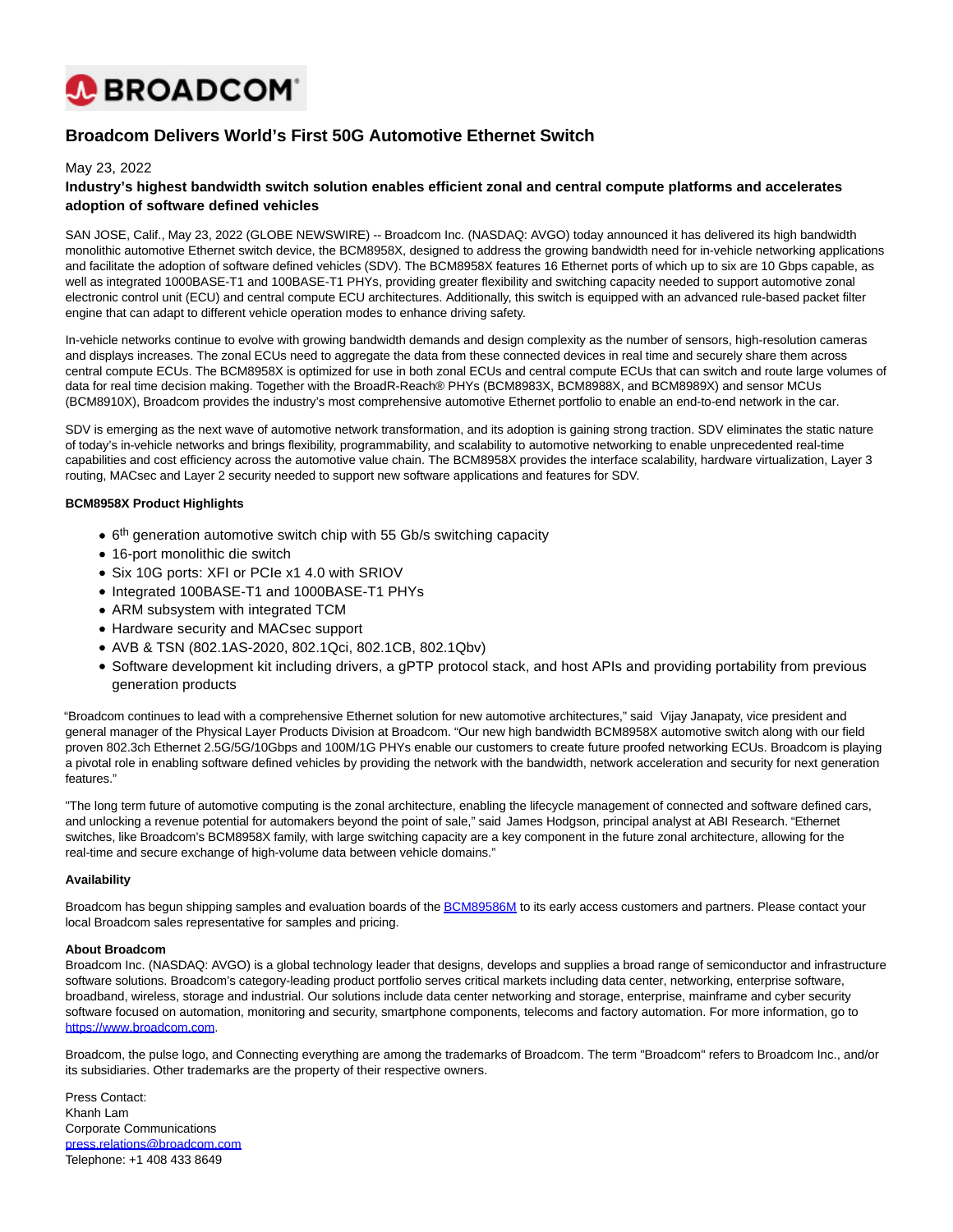

# **Broadcom Delivers World's First 50G Automotive Ethernet Switch**

### May 23, 2022

## **Industry's highest bandwidth switch solution enables efficient zonal and central compute platforms and accelerates adoption of software defined vehicles**

SAN JOSE, Calif., May 23, 2022 (GLOBE NEWSWIRE) -- Broadcom Inc. (NASDAQ: AVGO) today announced it has delivered its high bandwidth monolithic automotive Ethernet switch device, the BCM8958X, designed to address the growing bandwidth need for in-vehicle networking applications and facilitate the adoption of software defined vehicles (SDV). The BCM8958X features 16 Ethernet ports of which up to six are 10 Gbps capable, as well as integrated 1000BASE-T1 and 100BASE-T1 PHYs, providing greater flexibility and switching capacity needed to support automotive zonal electronic control unit (ECU) and central compute ECU architectures. Additionally, this switch is equipped with an advanced rule-based packet filter engine that can adapt to different vehicle operation modes to enhance driving safety.

In-vehicle networks continue to evolve with growing bandwidth demands and design complexity as the number of sensors, high-resolution cameras and displays increases. The zonal ECUs need to aggregate the data from these connected devices in real time and securely share them across central compute ECUs. The BCM8958X is optimized for use in both zonal ECUs and central compute ECUs that can switch and route large volumes of data for real time decision making. Together with the BroadR-Reach® PHYs (BCM8983X, BCM8988X, and BCM8989X) and sensor MCUs (BCM8910X), Broadcom provides the industry's most comprehensive automotive Ethernet portfolio to enable an end-to-end network in the car.

SDV is emerging as the next wave of automotive network transformation, and its adoption is gaining strong traction. SDV eliminates the static nature of today's in-vehicle networks and brings flexibility, programmability, and scalability to automotive networking to enable unprecedented real-time capabilities and cost efficiency across the automotive value chain. The BCM8958X provides the interface scalability, hardware virtualization, Layer 3 routing, MACsec and Layer 2 security needed to support new software applications and features for SDV.

#### **BCM8958X Product Highlights**

- 6<sup>th</sup> generation automotive switch chip with 55 Gb/s switching capacity
- 16-port monolithic die switch
- Six 10G ports: XFI or PCIe x1 4.0 with SRIOV
- Integrated 100BASE-T1 and 1000BASE-T1 PHYs
- ARM subsystem with integrated TCM
- Hardware security and MACsec support
- AVB & TSN (802.1AS-2020, 802.1Qci, 802.1CB, 802.1Qbv)
- Software development kit including drivers, a gPTP protocol stack, and host APIs and providing portability from previous generation products

"Broadcom continues to lead with a comprehensive Ethernet solution for new automotive architectures," said Vijay Janapaty, vice president and general manager of the Physical Layer Products Division at Broadcom. "Our new high bandwidth BCM8958X automotive switch along with our field proven 802.3ch Ethernet 2.5G/5G/10Gbps and 100M/1G PHYs enable our customers to create future proofed networking ECUs. Broadcom is playing a pivotal role in enabling software defined vehicles by providing the network with the bandwidth, network acceleration and security for next generation features."

"The long term future of automotive computing is the zonal architecture, enabling the lifecycle management of connected and software defined cars, and unlocking a revenue potential for automakers beyond the point of sale," said James Hodgson, principal analyst at ABI Research. "Ethernet switches, like Broadcom's BCM8958X family, with large switching capacity are a key component in the future zonal architecture, allowing for the real-time and secure exchange of high-volume data between vehicle domains."

#### **Availability**

Broadcom has begun shipping samples and evaluation boards of the **BCM89586M** to its early access customers and partners. Please contact your local Broadcom sales representative for samples and pricing.

#### **About Broadcom**

Broadcom Inc. (NASDAQ: AVGO) is a global technology leader that designs, develops and supplies a broad range of semiconductor and infrastructure software solutions. Broadcom's category-leading product portfolio serves critical markets including data center, networking, enterprise software, broadband, wireless, storage and industrial. Our solutions include data center networking and storage, enterprise, mainframe and cyber security software focused on automation, monitoring and security, smartphone components, telecoms and factory automation. For more information, go to [https://www.broadcom.com.](https://www.globenewswire.com/Tracker?data=tawKcvOCeEjDv9ipKvU_NpLsNVw3GSbQrZuCHL6Nu8MPFQvH8SG8qLMxc_3loWUIXVbjCBNiRWvigcKbGniTkkFeYIXzdOwJcbTfUWp1GNA=)

Broadcom, the pulse logo, and Connecting everything are among the trademarks of Broadcom. The term "Broadcom" refers to Broadcom Inc., and/or its subsidiaries. Other trademarks are the property of their respective owners.

Press Contact: Khanh Lam Corporate Communications [press.relations@broadcom.com](mailto:press.relations@broadcom.com) Telephone: +1 408 433 8649